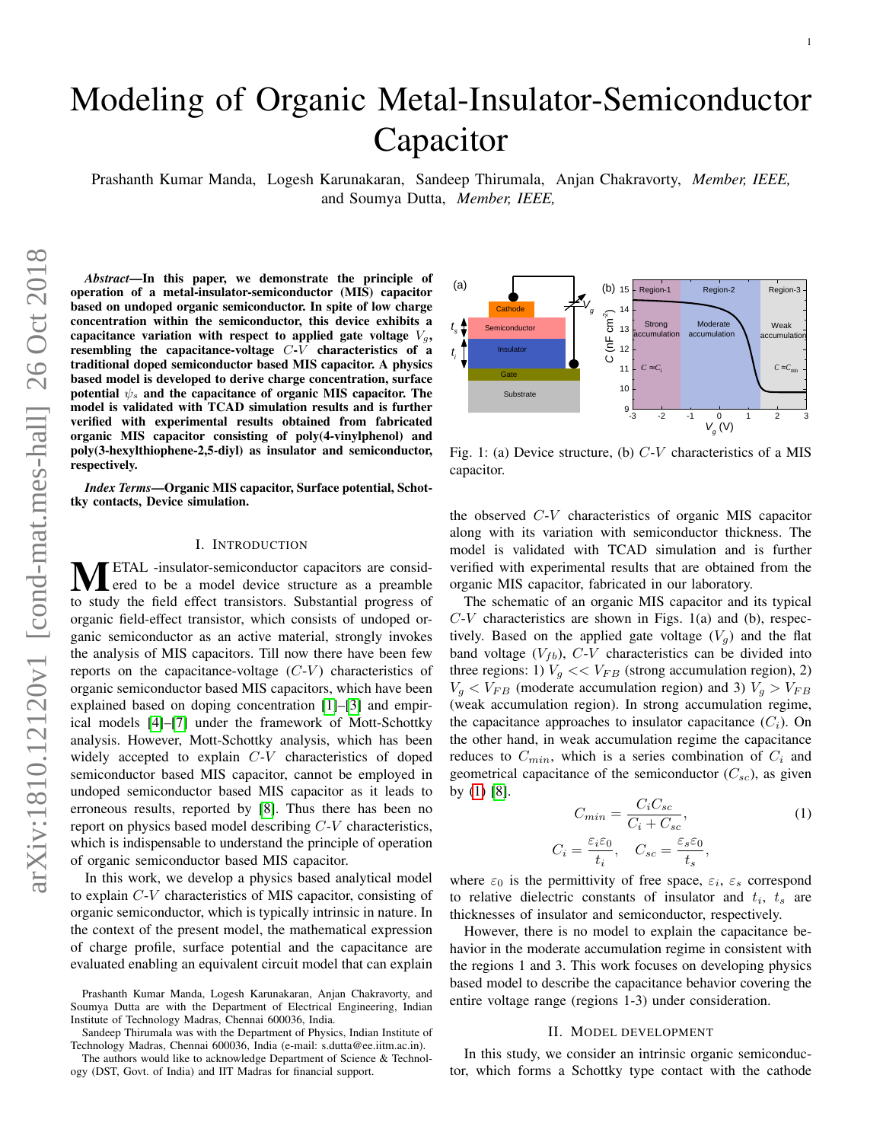# Modeling of Organic Metal-Insulator-Semiconductor Capacitor

Prashanth Kumar Manda, Logesh Karunakaran, Sandeep Thirumala, Anjan Chakravorty, *Member, IEEE,* and Soumya Dutta, *Member, IEEE,*

*Abstract*—In this paper, we demonstrate the principle of operation of a metal-insulator-semiconductor (MIS) capacitor based on undoped organic semiconductor. In spite of low charge concentration within the semiconductor, this device exhibits a capacitance variation with respect to applied gate voltage  $V_q$ , resembling the capacitance-voltage C-V characteristics of a traditional doped semiconductor based MIS capacitor. A physics based model is developed to derive charge concentration, surface potential  $\psi_s$  and the capacitance of organic MIS capacitor. The model is validated with TCAD simulation results and is further verified with experimental results obtained from fabricated organic MIS capacitor consisting of poly(4-vinylphenol) and poly(3-hexylthiophene-2,5-diyl) as insulator and semiconductor, respectively.

*Index Terms*—Organic MIS capacitor, Surface potential, Schottky contacts, Device simulation.

## I. INTRODUCTION

**METAL** -insulator-semiconductor capacitors are considered to be a model device structure as a preamble to study the field effect transistors. Substantial progress of organic field-effect transistor, which consists of undoped organic semiconductor as an active material, strongly invokes the analysis of MIS capacitors. Till now there have been few reports on the capacitance-voltage  $(C-V)$  characteristics of organic semiconductor based MIS capacitors, which have been explained based on doping concentration [\[1\]](#page-3-0)–[\[3\]](#page-3-1) and empirical models [\[4\]](#page-3-2)–[\[7\]](#page-3-3) under the framework of Mott-Schottky analysis. However, Mott-Schottky analysis, which has been widely accepted to explain C-V characteristics of doped semiconductor based MIS capacitor, cannot be employed in undoped semiconductor based MIS capacitor as it leads to erroneous results, reported by [\[8\]](#page-3-4). Thus there has been no report on physics based model describing C-V characteristics, which is indispensable to understand the principle of operation of organic semiconductor based MIS capacitor.

In this work, we develop a physics based analytical model to explain C-V characteristics of MIS capacitor, consisting of organic semiconductor, which is typically intrinsic in nature. In the context of the present model, the mathematical expression of charge profile, surface potential and the capacitance are evaluated enabling an equivalent circuit model that can explain

<span id="page-0-1"></span>-3 -2 -1 0 1 2 3 *V g* (V) 9  $10<sup>1</sup>$  and  $10<sup>1</sup>$ 11  $\mid C \approx C_i$  $12$  $13$  Strong  $14 \div$  $(b)$  15 - Region-1 Region  $C \approx C_{\text{min}}$  – Region-2 Region-3 (a) Weak accumulation accumulation Strong Moderate Weak *C*  $\overline{C}$   $\overline{C}$   $\overline{C}$   $\overline{C}$   $\overline{C}$   $\overline{C}$   $\overline{C}$   $\overline{C}$   $\overline{C}$   $\overline{C}$   $\overline{C}$   $\overline{C}$   $\overline{C}$   $\overline{C}$   $\overline{C}$   $\overline{C}$   $\overline{C}$   $\overline{C}$   $\overline{C}$   $\overline{C}$   $\overline{C}$   $\overline{C}$   $\overline{C}$   $\overline{C}$  accumulation accumulation  $C \approx C_i$  *C* ≈  $C_{\min}$   $t_i$   $\left| \begin{array}{ccc} 1 & \text{inst.} \end{array} \right.$ Substrate Gate **Gate Gate** Insulator **Alexander**  $t_s$  Semiconductor  $\qquad$ Cathode  $V_{\alpha}$   $\alpha$  14  $\alpha$ 

1

Fig. 1: (a) Device structure, (b)  $C-V$  characteristics of a MIS capacitor.

the observed C-V characteristics of organic MIS capacitor along with its variation with semiconductor thickness. The model is validated with TCAD simulation and is further verified with experimental results that are obtained from the organic MIS capacitor, fabricated in our laboratory.

The schematic of an organic MIS capacitor and its typical  $C-V$  characteristics are shown in Figs. 1(a) and (b), respectively. Based on the applied gate voltage  $(V_q)$  and the flat band voltage  $(V_{fb})$ ,  $C-V$  characteristics can be divided into three regions: 1)  $V_g \ll V_{FB}$  (strong accumulation region), 2)  $V_g < V_{FB}$  (moderate accumulation region) and 3)  $V_g > V_{FB}$ (weak accumulation region). In strong accumulation regime, the capacitance approaches to insulator capacitance  $(C_i)$ . On the other hand, in weak accumulation regime the capacitance reduces to  $C_{min}$ , which is a series combination of  $C_i$  and geometrical capacitance of the semiconductor  $(C_{sc})$ , as given by [\(1\)](#page-0-0) [\[8\]](#page-3-4).

<span id="page-0-0"></span>
$$
C_{min} = \frac{C_i C_{sc}}{C_i + C_{sc}},
$$
  
\n
$$
C_i = \frac{\varepsilon_i \varepsilon_0}{t_i}, \quad C_{sc} = \frac{\varepsilon_s \varepsilon_0}{t_s},
$$
\n(1)

where  $\varepsilon_0$  is the permittivity of free space,  $\varepsilon_i$ ,  $\varepsilon_s$  correspond to relative dielectric constants of insulator and  $t_i$ ,  $t_s$  are thicknesses of insulator and semiconductor, respectively.

However, there is no model to explain the capacitance behavior in the moderate accumulation regime in consistent with the regions 1 and 3. This work focuses on developing physics based model to describe the capacitance behavior covering the entire voltage range (regions 1-3) under consideration.

#### II. MODEL DEVELOPMENT

In this study, we consider an intrinsic organic semiconductor, which forms a Schottky type contact with the cathode

Prashanth Kumar Manda, Logesh Karunakaran, Anjan Chakravorty, and Soumya Dutta are with the Department of Electrical Engineering, Indian Institute of Technology Madras, Chennai 600036, India.

Sandeep Thirumala was with the Department of Physics, Indian Institute of Technology Madras, Chennai 600036, India (e-mail: s.dutta@ee.iitm.ac.in).

The authors would like to acknowledge Department of Science & Technology (DST, Govt. of India) and IIT Madras for financial support.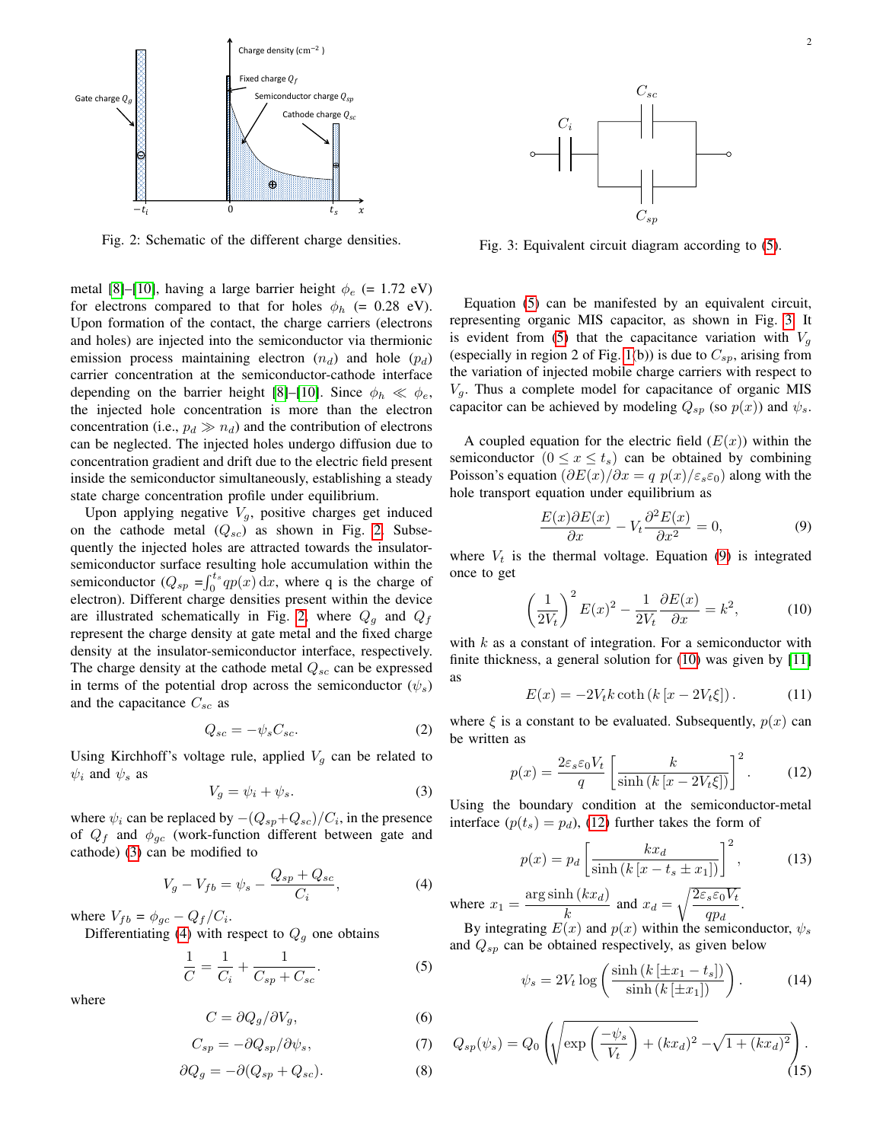<span id="page-1-0"></span>

Fig. 2: Schematic of the different charge densities.

metal [\[8\]](#page-3-4)–[\[10\]](#page-3-5), having a large barrier height  $\phi_e$  (= 1.72 eV) for electrons compared to that for holes  $\phi_h$  (= 0.28 eV). Upon formation of the contact, the charge carriers (electrons and holes) are injected into the semiconductor via thermionic emission process maintaining electron  $(n_d)$  and hole  $(p_d)$ carrier concentration at the semiconductor-cathode interface depending on the barrier height [\[8\]](#page-3-4)–[\[10\]](#page-3-5). Since  $\phi_h \ll \phi_e$ , the injected hole concentration is more than the electron concentration (i.e.,  $p_d \gg n_d$ ) and the contribution of electrons can be neglected. The injected holes undergo diffusion due to concentration gradient and drift due to the electric field present inside the semiconductor simultaneously, establishing a steady state charge concentration profile under equilibrium.

Upon applying negative  $V_g$ , positive charges get induced on the cathode metal  $(Q_{sc})$  as shown in Fig. [2.](#page-1-0) Subsequently the injected holes are attracted towards the insulatorsemiconductor surface resulting hole accumulation within the semiconductor  $(Q_{sp} = \int_0^{t_s} qp(x) dx$ , where q is the charge of electron). Different charge densities present within the device are illustrated schematically in Fig. [2,](#page-1-0) where  $Q_g$  and  $Q_f$ represent the charge density at gate metal and the fixed charge density at the insulator-semiconductor interface, respectively. The charge density at the cathode metal  $Q_{sc}$  can be expressed in terms of the potential drop across the semiconductor  $(\psi_s)$ and the capacitance  $C_{sc}$  as

<span id="page-1-10"></span>
$$
Q_{sc} = -\psi_s C_{sc}.\tag{2}
$$

Using Kirchhoff's voltage rule, applied  $V<sub>q</sub>$  can be related to  $\psi_i$  and  $\psi_s$  as

<span id="page-1-1"></span>
$$
V_g = \psi_i + \psi_s. \tag{3}
$$

where  $\psi_i$  can be replaced by  $-(Q_{sp}+Q_{sc})/C_i$ , in the presence of  $Q_f$  and  $\phi_{qc}$  (work-function different between gate and cathode) [\(3\)](#page-1-1) can be modified to

<span id="page-1-2"></span>
$$
V_g - V_{fb} = \psi_s - \frac{Q_{sp} + Q_{sc}}{C_i},\tag{4}
$$

where  $V_{fb} = \phi_{gc} - Q_f/C_i$ .

Differentiating [\(4\)](#page-1-2) with respect to  $Q_g$  one obtains

<span id="page-1-3"></span>
$$
\frac{1}{C} = \frac{1}{C_i} + \frac{1}{C_{sp} + C_{sc}}.\tag{5}
$$

where

$$
C = \partial Q_g / \partial V_g,\tag{6}
$$

$$
C_{sp} = -\partial Q_{sp}/\partial \psi_s,\tag{7}
$$

$$
\partial Q_g = -\partial (Q_{sp} + Q_{sc}).\tag{8}
$$

<span id="page-1-4"></span>

Fig. 3: Equivalent circuit diagram according to [\(5\)](#page-1-3).

Equation [\(5\)](#page-1-3) can be manifested by an equivalent circuit, representing organic MIS capacitor, as shown in Fig. [3.](#page-1-4) It is evident from [\(5\)](#page-1-3) that the capacitance variation with  $V_q$ (especially in region 2 of Fig. [1\(](#page-0-1)b)) is due to  $C_{sp}$ , arising from the variation of injected mobile charge carriers with respect to  $V<sub>q</sub>$ . Thus a complete model for capacitance of organic MIS capacitor can be achieved by modeling  $Q_{sp}$  (so  $p(x)$ ) and  $\psi_s$ .

A coupled equation for the electric field  $(E(x))$  within the semiconductor  $(0 \le x \le t_s)$  can be obtained by combining Poisson's equation  $(\partial E(x)/\partial x = q p(x)/\varepsilon_s \varepsilon_0)$  along with the hole transport equation under equilibrium as

<span id="page-1-5"></span>
$$
\frac{E(x)\partial E(x)}{\partial x} - V_t \frac{\partial^2 E(x)}{\partial x^2} = 0,
$$
\n(9)

where  $V_t$  is the thermal voltage. Equation [\(9\)](#page-1-5) is integrated once to get

<span id="page-1-6"></span>
$$
\left(\frac{1}{2V_t}\right)^2 E(x)^2 - \frac{1}{2V_t} \frac{\partial E(x)}{\partial x} = k^2,\tag{10}
$$

with  $k$  as a constant of integration. For a semiconductor with finite thickness, a general solution for [\(10\)](#page-1-6) was given by [\[11\]](#page-3-6) as

$$
E(x) = -2V_t k \coth\left(k\left[x - 2V_t \xi\right]\right). \tag{11}
$$

where  $\xi$  is a constant to be evaluated. Subsequently,  $p(x)$  can be written as

<span id="page-1-7"></span>
$$
p(x) = \frac{2\varepsilon_s \varepsilon_0 V_t}{q} \left[ \frac{k}{\sinh\left(k\left[x - 2V_t \xi\right]\right)} \right]^2.
$$
 (12)

Using the boundary condition at the semiconductor-metal interface  $(p(t_s) = p_d)$ , [\(12\)](#page-1-7) further takes the form of

$$
p(x) = p_d \left[ \frac{kx_d}{\sinh\left(k\left[x - t_s \pm x_1\right]\right)} \right]^2, \tag{13}
$$

where  $x_1 = \frac{\arg \sinh (kx_d)}{h}$  $\frac{\mathrm{d}h\left(kx_{d}\right)}{k}$  and  $x_{d} = \sqrt{\frac{2\varepsilon_{s}\varepsilon_{0}V_{t}}{qp_{d}}}$  $\frac{1}{q p_d}$ .

By integrating  $E(x)$  and  $p(x)$  within the semiconductor,  $\psi_s$ and  $Q_{sp}$  can be obtained respectively, as given below

<span id="page-1-8"></span>
$$
\psi_s = 2V_t \log \left( \frac{\sinh \left( k \left[ \pm x_1 - t_s \right] \right)}{\sinh \left( k \left[ \pm x_1 \right] \right)} \right). \tag{14}
$$

<span id="page-1-9"></span>
$$
Q_{sp}(\psi_s) = Q_0 \left( \sqrt{\exp\left(\frac{-\psi_s}{V_t}\right) + (kx_d)^2} - \sqrt{1 + (kx_d)^2} \right).
$$
\n(15)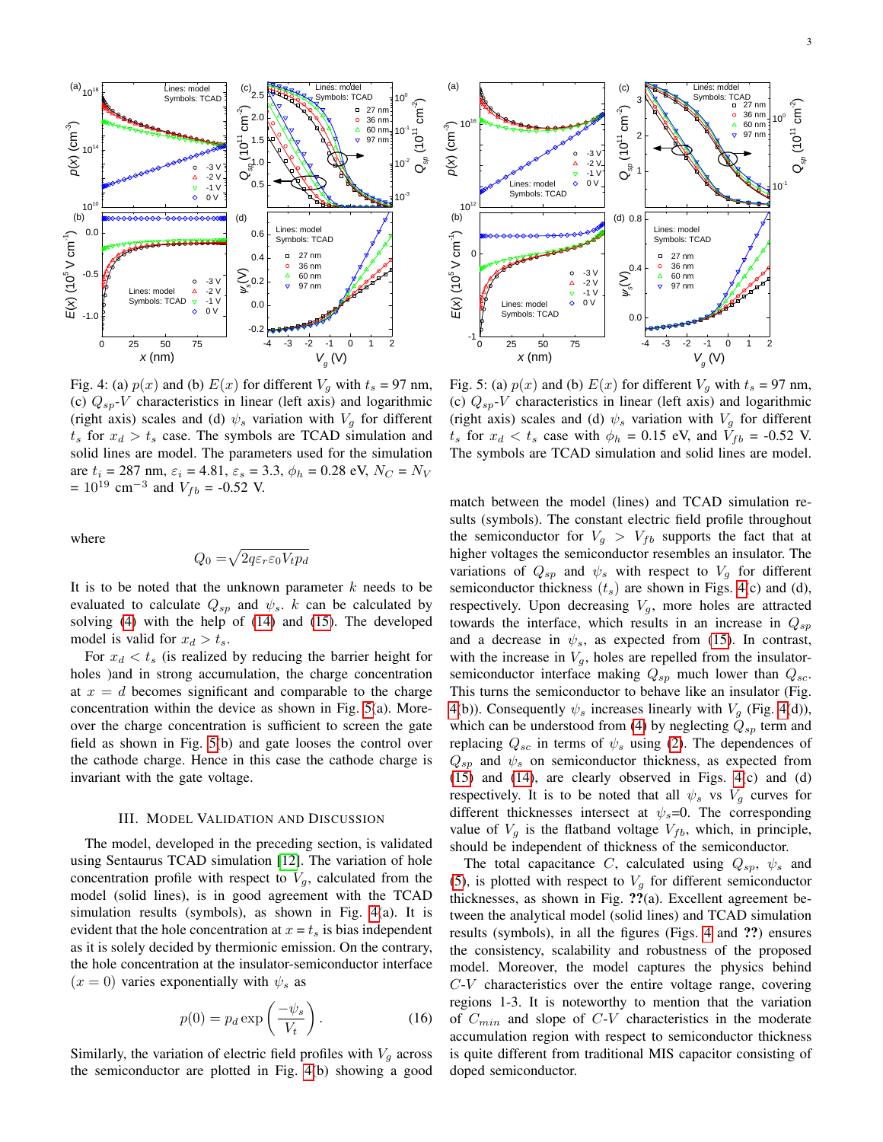$10^{\circ}$   $\overline{\textrm{E}}$ 

 $97 \text{ nm}$   $\sim$ 

ر<br>ای

 $\scriptstyle\sim$ ) $27 \text{ nm}$   $\dot{N}_{-}$ 

*p*(*x*) (cm-3)60 nm 1 . 5 ہے<br>10 14 and  $\overline{a}$  14 and  $\overline{a}$  14 and  $\overline{a}$  14 and  $\overline{a}$  14 and  $\overline{a}$  14 and  $\overline{a}$  14 and  $\overline{a}$  14 and  $\overline{a}$  14 and  $\overline{a}$  14 and  $\overline{a}$  14 and  $\overline{a}$  14 and  $\overline{a}$  14 and  $\overline{a}$  14 and  $\overline{a}$  $10^{14}$  =  $\begin{bmatrix} 3 & 3 & 3 \ 2 & 4 & 3 \end{bmatrix}$  $\frac{1}{2}$   $\frac{1}{2}$   $\frac{1}{2}$   $\frac{1}{2}$   $\frac{1}{2}$   $\frac{1}{2}$   $\frac{1}{2}$ *Q* $-2$  V<br> $-1$  V 0. 5  $\bar{\nabla}$ 0 V  $10<sup>1</sup>$  $10^{10}$   $\frac{1}{2}$ (b) (d)  $0.0$ Lines: model  $0.6$  Lines. model<br>Symbols: TCAD  $\sqrt[3]{\frac{1}{2}}$ E(*x*) (10<sup>5</sup> V cm<sup>-1</sup>)<br>
1<br>
1<br>
1<br>
1  $0.4$ 36 nm  $-0.5$  $\begin{bmatrix} -3 \sqrt{2} \\ -2 \sqrt{2} \end{bmatrix}$   $\begin{bmatrix} \sum_{\infty} 0.2 \end{bmatrix}$   $\begin{bmatrix} \triangle & 60 \text{ nm} \\ \triangledown & 97 \text{ nm} \end{bmatrix}$ Lines: model  $\qquad \Delta$  $\frac{2}{\text{Symbols: TCAD}}$   $\frac{1}{\diamond}$  -1  $-1 \vee$  0.0  $\frac{1}{2}$  $0 \vee$   $\begin{array}{ccc} & & \cdots \end{array}$  $-1.0 \frac{\mu}{6}$  $-0.2$ 0 25 50 75 *x* (nm)  $V_g(V)$ Fig. 4: (a)  $p(x)$  and (b)  $E(x)$  for different  $V_g$  with  $t_s = 97$  nm, (c)  $Q_{sp}$ -*V* characteristics in linear (left axis) and logarithmic (right axis) scales and (d)  $\psi_s$  variation with  $V_g$  for different  $t_s$  for  $x_d > t_s$  case. The symbols are TCAD simulation and

where

 $= 10^{19}$  cm<sup>-3</sup> and  $V_{fb} = -0.52$  V.

$$
Q_0 = \sqrt{2q\varepsilon_r \varepsilon_0 V_t p_d}
$$

solid lines are model. The parameters used for the simulation are  $t_i = 287$  nm,  $\varepsilon_i = 4.81$ ,  $\varepsilon_s = 3.3$ ,  $\phi_h = 0.28$  eV,  $N_C = N_V$ 

It is to be noted that the unknown parameter  $k$  needs to be evaluated to calculate  $Q_{sp}$  and  $\psi_s$ . k can be calculated by solving [\(4\)](#page-1-2) with the help of [\(14\)](#page-1-8) and [\(15\)](#page-1-9). The developed model is valid for  $x_d > t_s$ .

For  $x_d < t_s$  (is realized by reducing the barrier height for holes )and in strong accumulation, the charge concentration at  $x = d$  becomes significant and comparable to the charge concentration within the device as shown in Fig. [5\(](#page-2-0)a). Moreover the charge concentration is sufficient to screen the gate field as shown in Fig. [5\(](#page-2-0)b) and gate looses the control over the cathode charge. Hence in this case the cathode charge is invariant with the gate voltage.

### III. MODEL VALIDATION AND DISCUSSION

The model, developed in the preceding section, is validated using Sentaurus TCAD simulation [\[12\]](#page-3-7). The variation of hole concentration profile with respect to  $V_q$ , calculated from the model (solid lines), is in good agreement with the TCAD simulation results (symbols), as shown in Fig. [4\(](#page-2-1)a). It is evident that the hole concentration at  $x = t_s$  is bias independent as it is solely decided by thermionic emission. On the contrary, the hole concentration at the insulator-semiconductor interface  $(x = 0)$  varies exponentially with  $\psi_s$  as

$$
p(0) = p_d \exp\left(\frac{-\psi_s}{V_t}\right). \tag{16}
$$

Similarly, the variation of electric field profiles with  $V_g$  across the semiconductor are plotted in Fig. [4\(](#page-2-1)b) showing a good



 $10^{16}$   $888 - 88$  $16$   $\approx$   $\approx$   $\approx$   $\approx$ 

<span id="page-2-0"></span>(a)

2 W W

 $(c)$ 

 $-3 \vee$   $-1$   $-1$   $\vee$ 

(1011

 $cm<sup>-2</sup>$ 

 $3 \sqrt{x}$  Symbols: TCAD  $\sqrt{x}$ 

Lines: model | |

36 nm 60 nm

(right axis) scales and (d)  $\psi_s$  variation with  $V_g$  for different  $t_s$  for  $x_d < t_s$  case with  $\phi_h = 0.15$  eV, and  $V_{fb} = -0.52$  V. The symbols are TCAD simulation and solid lines are model.

match between the model (lines) and TCAD simulation results (symbols). The constant electric field profile throughout the semiconductor for  $V_g > V_{fb}$  supports the fact that at higher voltages the semiconductor resembles an insulator. The variations of  $Q_{sp}$  and  $\psi_s$  with respect to  $V_q$  for different semiconductor thickness  $(t<sub>s</sub>)$  are shown in Figs. [4\(](#page-2-1)c) and (d), respectively. Upon decreasing  $V<sub>g</sub>$ , more holes are attracted towards the interface, which results in an increase in  $Q_{sp}$ and a decrease in  $\psi_s$ , as expected from [\(15\)](#page-1-9). In contrast, with the increase in  $V_g$ , holes are repelled from the insulatorsemiconductor interface making  $Q_{sp}$  much lower than  $Q_{sc}$ . This turns the semiconductor to behave like an insulator (Fig. [4\(](#page-2-1)b)). Consequently  $\psi_s$  increases linearly with  $V_g$  (Fig. [4\(](#page-2-1)d)), which can be understood from [\(4\)](#page-1-2) by neglecting  $Q_{sp}$  term and replacing  $Q_{sc}$  in terms of  $\psi_s$  using [\(2\)](#page-1-10). The dependences of  $Q_{sp}$  and  $\psi_s$  on semiconductor thickness, as expected from [\(15\)](#page-1-9) and [\(14\)](#page-1-8), are clearly observed in Figs. [4\(](#page-2-1)c) and (d) respectively. It is to be noted that all  $\psi_s$  vs  $V_q$  curves for different thicknesses intersect at  $\psi_s = 0$ . The corresponding value of  $V_g$  is the flatband voltage  $V_{fb}$ , which, in principle, should be independent of thickness of the semiconductor.

The total capacitance C, calculated using  $Q_{sp}$ ,  $\psi_s$  and [\(5\)](#page-1-3), is plotted with respect to  $V<sub>q</sub>$  for different semiconductor thicknesses, as shown in Fig. ??(a). Excellent agreement between the analytical model (solid lines) and TCAD simulation results (symbols), in all the figures (Figs. [4](#page-2-1) and ??) ensures the consistency, scalability and robustness of the proposed model. Moreover, the model captures the physics behind  $C-V$  characteristics over the entire voltage range, covering regions 1-3. It is noteworthy to mention that the variation of  $C_{min}$  and slope of  $C-V$  characteristics in the moderate accumulation region with respect to semiconductor thickness is quite different from traditional MIS capacitor consisting of doped semiconductor.

<span id="page-2-1"></span>